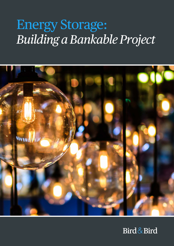# Energy Storage: *Building a Bankable Project*



#### Bird&Bird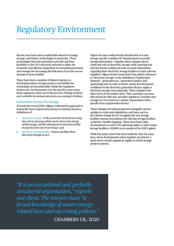#### Regulatory Environment

Recent years have seen considerable interest in energy storage, and battery technologies in particular. These technologies have the potential to provide real-time flexibility to the UK's electricity network to allow the economic and efficient integration of renewable generation and manage the increasing electrification of certain sectors (transport most notably).

There have been a number of historic barriers to developing battery storage projects and initially the technology sat uncomfortably within the regulatory framework. Developments over the past few years mean these regulatory issues are in the process of being resolved and workable investment structures are coming to fruition.

#### Generation Licence for storage

Towards the end of 2020, Ofgem confirmed its approach to amend the form of generation licence to include statutory definitions of:

- i. electricity storage: *'is the conversion of electrical energy into a form of energy which can be stored, the storing of that energy, and the subsequent reconversion of that energy back into electrical energy';* and
- ii. electricity storage facility: *'means a facility where Electricity Storage occurs'.*

Ofgem has also confirmed the introduction of a new storage specific condition E1 'Requirement to provide storage information'. Together these changes aim to clarify the role of electricity storage while ensuring that relevant licence holders provide accurate information regarding their electricity storage facilities to their relevant suppliers. Ofgem further notes that it has added references to 'electricity storage' to the definitions of 'generation business', 'generation set', 'generation station' and 'generating unit' in order to better clarify that the licence conditions in the electricity generation licence apply to electricity storage more generally. These changes took effect from 29 November 2020. This concludes a process that started in 2016 and provides regulatory certainty that storage is to be treated as a subset of generation with a specific form of generation licence.

These changes are being progressed alongside various updates to codes and regulations, and taxes such as the climate change levy to recognise the way storage facilities operate and address the risk that storage facilities could face 'double charging'. There have been other developments as well to the planning regime to allow larger storage facilities (>50MW) to sit outside of the NSIP regime.

While the policy intent has been relatively clear for some time, these developments taken together provide for a much more certain regulatory regime in which storage projects operate.

*"It is an exceptional and perfectly structured organisation," reports one client. The lawyers have "a broad knowledge of smart energyrelated laws and upcoming policies."*

CHAMBERS UK, 2020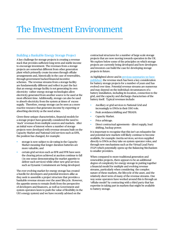### The Investment Environment

#### Building a Bankable Energy Storage Project

A key challenge for storage projects is creating a revenue stack that provides sufficient long term and stable income to encourage investment. The revenues from a storage projects are somewhat different from other generation plant which primarily create incomes through offtake arrangements and, historically in the case of renewables, through government backed-financial incentive schemes. The revenue streams from a storage facility are fundamentally different and reflect in part the fact that an energy storage facility is not generating its own electricity– rather energy storage technologies allow electricity generated from another source to be used at the most efficient time. Additionally, storage can also be used to absorb electricity from the system at times of excess supply. Therefore, energy storage can be seen as a more reactive resource that generates income by exporting or absorbing electricity as the need arises.

Given these unique characteristics, financial models for a storage project have generally considered the need to 'stack' revenues from multiple sources and markets. After an initial wave of interest where a number of storage projects were developed with revenue streams built on the Capacity Market and National Grid services such as EFR, the position has changed, for example:

- storage is now subject to de-rating in the Capacity Market meaning that longer duration batteries are more valuable; and
- certain grid services such as EFR and FFR have seen the clearing prices achieved at auction continue to fall ( in one sense demonstrating the market appetite to deliver such services) while other new grid services such as Dynamic Containment are being developed.

The ever-evolving market for energy storage has created a hurdle for developers and potential investors alike as they seek to assemble a project structure that provides a bankable revenue stream over the asset lifecycle. However, the appetite seems to remain (both from the perspective of developers and financers, as well as Government and system operators keen to push the value of flexibility in the UK's energy system) and we have recently advised on the

contractual structures for a number of large scale storage projects that are now moving towards operation in the UK. We explore below some of the principles on which storage projects are currently being developed and how developers and investors can build the case for developing storage projects in future.

As highlighted above and in **previous** summaries we have [published](https://www.twobirds.com/en/sectors/energy-and-utilities/energy-storage), the revenue stack has been a key consideration for battery storage projects for a number of years and has evolved over time. Potential revenue streams are numerous and may depend on the individual circumstances of a battery installation, including its location, connection to the grid, and the capacity and discharge characterises of the battery itself. Typical revenues include:

- Ancillary or grid services to National Grid and increasingly to DNOs in their DSO role.
- Peak avoidance/shifting and TRIADS.
- Capacity Market.
- Price arbitrage.
- Direct contractual agreements direct supply, load shifting, backup power.

It is important to recognise that this isn't an exhaustive list and potential new markets will likely continue to become available, for example: inertia services; services supplied directly to DNOs as they take on system operator roles; and through new mechanisms such as the Virtual Lead Party (VLP) which potentially opens up the Balancing Mechanism to smaller providers.

When compared to more traditional generation and renewables projects, there appears to be an additional degree of complexity for energy storage in putting together a financial model for multiple and evolving revenue streams, particularly when considering the complex nature of these markets, the lifecycle of the asset, and the relatively short term of many of the revenue streams. One way some operators have worked around this is through an 'offtake model' by contracting with a third party that has expertise in taking part in markets that might be available to battery storage.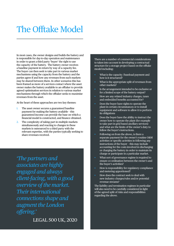### The Offtake Model

In most cases, the owner designs and builds the battery and is responsible for day-to-day operation and maintenance in order to grant a third party 'buyer' the right to use the capacity of the battery. The battery owner receives a baseline payment in return by way of a capacity fee. The buyer can then seek to take part in various market mechanisms using the capacity from the battery and the parties agree if and how any revenues from such markets may be shared between them. In other scenarios this has been framed as more of a services contact where the asset owner makes the battery available to an offtaker to provide agreed optimisation services in relation to various market mechanisms through which the offtaker seeks to maximise revenues from the asset.

At the heart of these approaches are two key themes:

- 1. The asset owner secures a guaranteed baseline payment for making the battery available – this guaranteed income can provide the base on which a financial model is constructed, and finance obtained.
- 2. The complexity of taking part in multiple markets simultaneously and reacting to changes in these markets is outsourced to a third party with the relevant expertise, with the parties typically seeking to share revenues received.

*'The partners and associates are highly engaged and always client-facing, with a good overview of the market. Their international connections shape and augment the London offering.'*

There are a number of commercial considerations to taken into account in developing a contractual structure for a storage project based on the offtake model including:

- What is the capacity /baseload payment and how is it structured?
- What is the appropriate split of revenues from other markets?
- Is the arrangement intended to be exclusive or for a limited scope of the battery output?
- How are any related industry charges, taxes and embedded benefits accounted for?
- Does the buyer have rights to operate the plant in certain circumstances or to install equipment and software to allow it to perform its obligations
- Does the buyer have the ability to instruct the owner how to operate the plant (for example to take part in grid based ancillary services) and what are the limits of the owner's duty to follow the buyer's instructions.
- Following on from the above, is there a separate payment for the owner's routine O&M activities or specific activities in following any instructions of the buyer – this may include accounting for the costs involved in discharging or charging the battery in order to maintain its charge or participate in a particular market.
- What sort of governance regime is required to ensure co-ordination between the owner's and the buyer's activities?
- How is responsibility for regulatory compliance and metering apportioned?
- How does the contract seek to deal with new industry charges/rules and/or potential revenue streams?

The liability and termination regimes in particular will also need to be carefully considered in light of the agreed split of risks and responsibilities regarding the above.

LEGAL 500 UK, 2020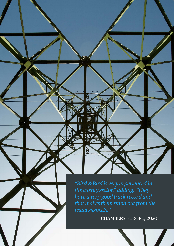*"Bird & Bird is very experienced in the energy sector," adding: "They have a very good track record and that makes them stand out from the usual suspects."*

៊

CHAMBERS EUROPE, 2020